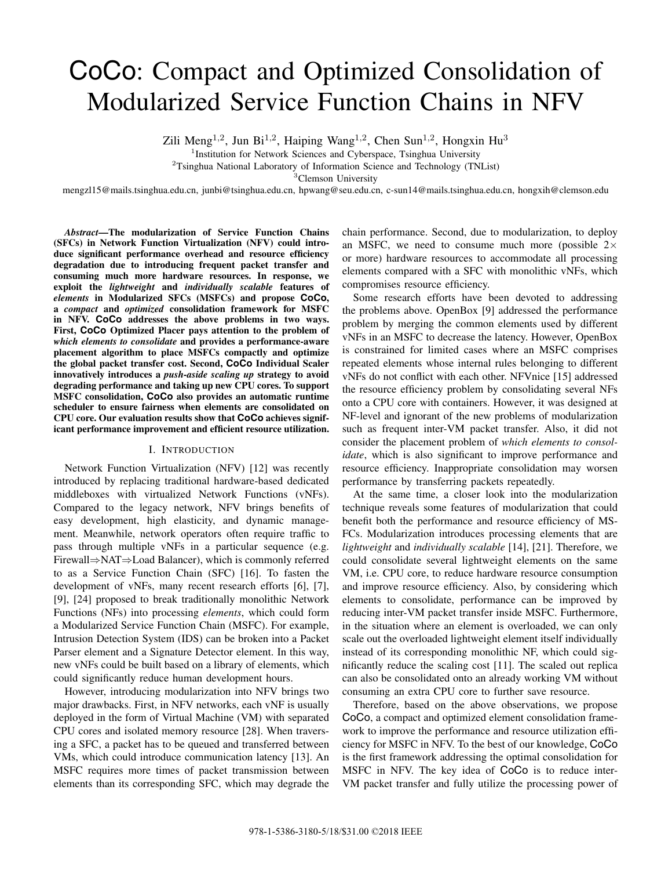# CoCo: Compact and Optimized Consolidation of Modularized Service Function Chains in NFV

Zili Meng<sup>1,2</sup>, Jun Bi<sup>1,2</sup>, Haiping Wang<sup>1,2</sup>, Chen Sun<sup>1,2</sup>, Hongxin Hu<sup>3</sup>

<sup>1</sup>Institution for Network Sciences and Cyberspace, Tsinghua University

 $2$ Tsinghua National Laboratory of Information Science and Technology (TNList)

<sup>3</sup>Clemson University

mengzl15@mails.tsinghua.edu.cn, junbi@tsinghua.edu.cn, hpwang@seu.edu.cn, c-sun14@mails.tsinghua.edu.cn, hongxih@clemson.edu

*Abstract***—The modularization of Service Function Chains (SFCs) in Network Function Virtualization (NFV) could introduce significant performance overhead and resource efficiency degradation due to introducing frequent packet transfer and consuming much more hardware resources. In response, we exploit the** *lightweight* **and** *individually scalable* **features of** *elements* **in Modularized SFCs (MSFCs) and propose CoCo, a** *compact* **and** *optimized* **consolidation framework for MSFC in NFV. CoCo addresses the above problems in two ways. First, CoCo Optimized Placer pays attention to the problem of** *which elements to consolidate* **and provides a performance-aware placement algorithm to place MSFCs compactly and optimize the global packet transfer cost. Second, CoCo Individual Scaler innovatively introduces a** *push-aside scaling up* **strategy to avoid degrading performance and taking up new CPU cores. To support MSFC consolidation, CoCo also provides an automatic runtime scheduler to ensure fairness when elements are consolidated on CPU core. Our evaluation results show that CoCo achieves significant performance improvement and efficient resource utilization.**

#### I. INTRODUCTION

Network Function Virtualization (NFV) [12] was recently introduced by replacing traditional hardware-based dedicated middleboxes with virtualized Network Functions (vNFs). Compared to the legacy network, NFV brings benefits of easy development, high elasticity, and dynamic management. Meanwhile, network operators often require traffic to pass through multiple vNFs in a particular sequence (e.g. Firewall⇒NAT⇒Load Balancer), which is commonly referred to as a Service Function Chain (SFC) [16]. To fasten the development of vNFs, many recent research efforts [6], [7], [9], [24] proposed to break traditionally monolithic Network Functions (NFs) into processing *elements*, which could form a Modularized Service Function Chain (MSFC). For example, Intrusion Detection System (IDS) can be broken into a Packet Parser element and a Signature Detector element. In this way, new vNFs could be built based on a library of elements, which could significantly reduce human development hours.

However, introducing modularization into NFV brings two major drawbacks. First, in NFV networks, each vNF is usually deployed in the form of Virtual Machine (VM) with separated CPU cores and isolated memory resource [28]. When traversing a SFC, a packet has to be queued and transferred between VMs, which could introduce communication latency [13]. An MSFC requires more times of packet transmission between elements than its corresponding SFC, which may degrade the

chain performance. Second, due to modularization, to deploy an MSFC, we need to consume much more (possible  $2\times$ or more) hardware resources to accommodate all processing elements compared with a SFC with monolithic vNFs, which compromises resource efficiency.

Some research efforts have been devoted to addressing the problems above. OpenBox [9] addressed the performance problem by merging the common elements used by different vNFs in an MSFC to decrease the latency. However, OpenBox is constrained for limited cases where an MSFC comprises repeated elements whose internal rules belonging to different vNFs do not conflict with each other. NFVnice [15] addressed the resource efficiency problem by consolidating several NFs onto a CPU core with containers. However, it was designed at NF-level and ignorant of the new problems of modularization such as frequent inter-VM packet transfer. Also, it did not consider the placement problem of *which elements to consolidate*, which is also significant to improve performance and resource efficiency. Inappropriate consolidation may worsen performance by transferring packets repeatedly.

At the same time, a closer look into the modularization technique reveals some features of modularization that could benefit both the performance and resource efficiency of MS-FCs. Modularization introduces processing elements that are *lightweight* and *individually scalable* [14], [21]. Therefore, we could consolidate several lightweight elements on the same VM, i.e. CPU core, to reduce hardware resource consumption and improve resource efficiency. Also, by considering which elements to consolidate, performance can be improved by reducing inter-VM packet transfer inside MSFC. Furthermore, in the situation where an element is overloaded, we can only scale out the overloaded lightweight element itself individually instead of its corresponding monolithic NF, which could significantly reduce the scaling cost [11]. The scaled out replica can also be consolidated onto an already working VM without consuming an extra CPU core to further save resource.

Therefore, based on the above observations, we propose CoCo, a compact and optimized element consolidation framework to improve the performance and resource utilization efficiency for MSFC in NFV. To the best of our knowledge, CoCo is the first framework addressing the optimal consolidation for MSFC in NFV. The key idea of CoCo is to reduce inter-VM packet transfer and fully utilize the processing power of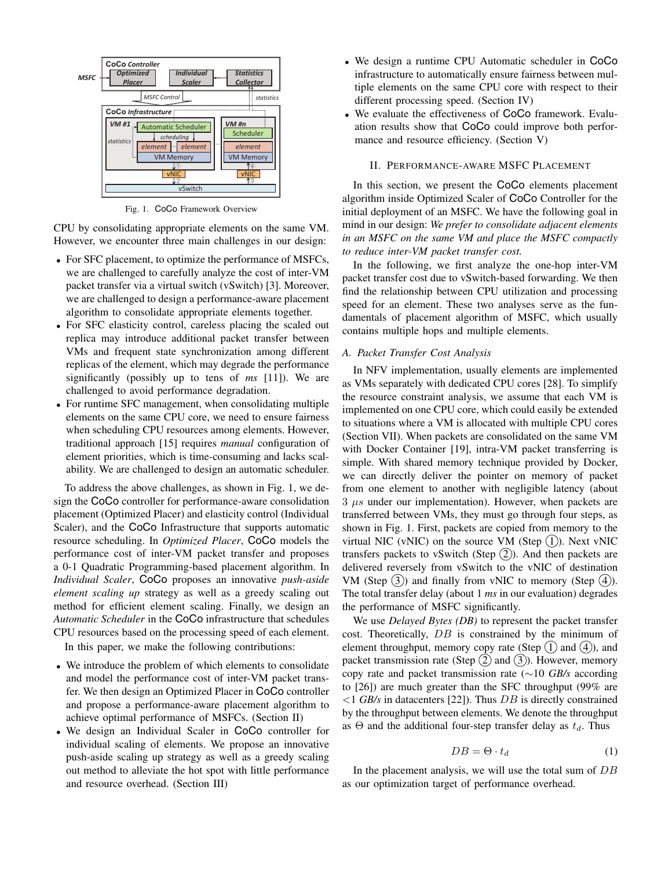

Fig. 1. CoCo Framework Overview

CPU by consolidating appropriate elements on the same VM. However, we encounter three main challenges in our design:

- <sup>∙</sup> For SFC placement, to optimize the performance of MSFCs, we are challenged to carefully analyze the cost of inter-VM packet transfer via a virtual switch (vSwitch) [3]. Moreover, we are challenged to design a performance-aware placement algorithm to consolidate appropriate elements together.
- <sup>∙</sup> For SFC elasticity control, careless placing the scaled out replica may introduce additional packet transfer between VMs and frequent state synchronization among different replicas of the element, which may degrade the performance significantly (possibly up to tens of *ms* [11]). We are challenged to avoid performance degradation.
- <sup>∙</sup> For runtime SFC management, when consolidating multiple elements on the same CPU core, we need to ensure fairness when scheduling CPU resources among elements. However, traditional approach [15] requires *manual* configuration of element priorities, which is time-consuming and lacks scalability. We are challenged to design an automatic scheduler.

To address the above challenges, as shown in Fig. 1, we design the CoCo controller for performance-aware consolidation placement (Optimized Placer) and elasticity control (Individual Scaler), and the CoCo Infrastructure that supports automatic resource scheduling. In *Optimized Placer*, CoCo models the performance cost of inter-VM packet transfer and proposes a 0-1 Quadratic Programming-based placement algorithm. In *Individual Scaler*, CoCo proposes an innovative *push-aside element scaling up* strategy as well as a greedy scaling out method for efficient element scaling. Finally, we design an *Automatic Scheduler* in the CoCo infrastructure that schedules CPU resources based on the processing speed of each element.

In this paper, we make the following contributions:

- <sup>∙</sup> We introduce the problem of which elements to consolidate and model the performance cost of inter-VM packet transfer. We then design an Optimized Placer in CoCo controller and propose a performance-aware placement algorithm to achieve optimal performance of MSFCs. (Section II)
- <sup>∙</sup> We design an Individual Scaler in CoCo controller for individual scaling of elements. We propose an innovative push-aside scaling up strategy as well as a greedy scaling out method to alleviate the hot spot with little performance and resource overhead. (Section III)
- <sup>∙</sup> We design a runtime CPU Automatic scheduler in CoCo infrastructure to automatically ensure fairness between multiple elements on the same CPU core with respect to their different processing speed. (Section IV)
- <sup>∙</sup> We evaluate the effectiveness of CoCo framework. Evaluation results show that CoCo could improve both performance and resource efficiency. (Section V)

## II. PERFORMANCE-AWARE MSFC PLACEMENT

In this section, we present the CoCo elements placement algorithm inside Optimized Scaler of CoCo Controller for the initial deployment of an MSFC. We have the following goal in mind in our design: *We prefer to consolidate adjacent elements in an MSFC on the same VM and place the MSFC compactly to reduce inter-VM packet transfer cost.*

In the following, we first analyze the one-hop inter-VM packet transfer cost due to vSwitch-based forwarding. We then find the relationship between CPU utilization and processing speed for an element. These two analyses serve as the fundamentals of placement algorithm of MSFC, which usually contains multiple hops and multiple elements.

### *A. Packet Transfer Cost Analysis*

In NFV implementation, usually elements are implemented as VMs separately with dedicated CPU cores [28]. To simplify the resource constraint analysis, we assume that each VM is implemented on one CPU core, which could easily be extended to situations where a VM is allocated with multiple CPU cores (Section VII). When packets are consolidated on the same VM with Docker Container [19], intra-VM packet transferring is simple. With shared memory technique provided by Docker, we can directly deliver the pointer on memory of packet from one element to another with negligible latency (about  $3 \mu s$  under our implementation). However, when packets are transferred between VMs, they must go through four steps, as shown in Fig. 1. First, packets are copied from memory to the virtual NIC (vNIC) on the source VM (Step  $(1)$ ). Next vNIC transfers packets to vSwitch (Step  $(2)$ ). And then packets are delivered reversely from vSwitch to the vNIC of destination VM (Step  $(3)$ ) and finally from vNIC to memory (Step  $(4)$ ). The total transfer delay (about 1 *ms* in our evaluation) degrades the performance of MSFC significantly.

We use *Delayed Bytes (DB)* to represent the packet transfer cost. Theoretically,  $DB$  is constrained by the minimum of element throughput, memory copy rate (Step  $(1)$  and  $(4)$ ), and packet transmission rate (Step  $(2)$  and  $(3)$ ). However, memory copy rate and packet transmission rate (∼10 *GB/s* according to [26]) are much greater than the SFC throughput (99% are  $\langle$ 1 *GB/s* in datacenters [22]). Thus *DB* is directly constrained by the throughput between elements. We denote the throughput as  $\Theta$  and the additional four-step transfer delay as  $t_d$ . Thus

$$
DB = \Theta \cdot t_d \tag{1}
$$

In the placement analysis, we will use the total sum of  $DB$ as our optimization target of performance overhead.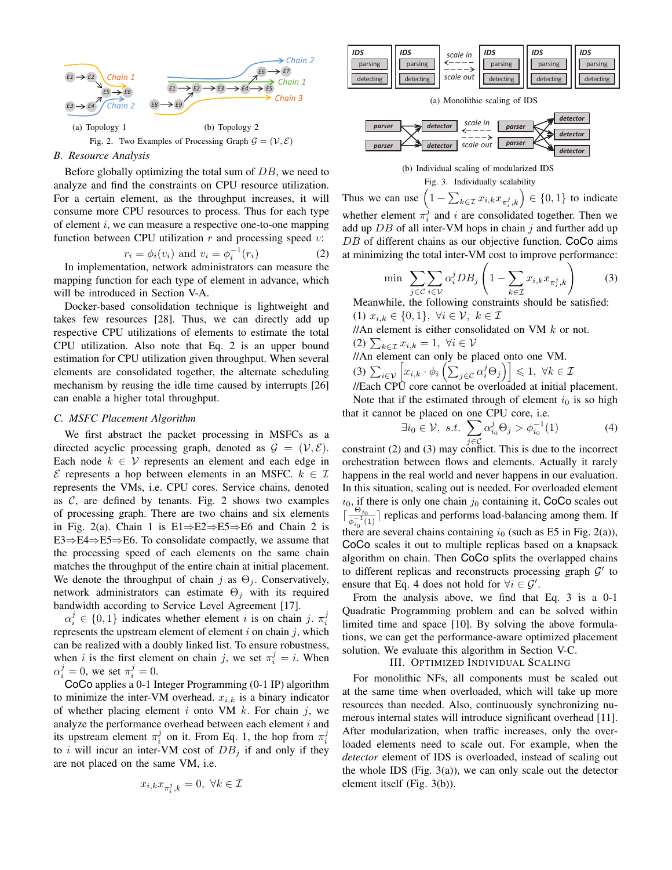

#### *B. Resource Analysis*

Before globally optimizing the total sum of  $DB$ , we need to analyze and find the constraints on CPU resource utilization. For a certain element, as the throughput increases, it will consume more CPU resources to process. Thus for each type of element  $i$ , we can measure a respective one-to-one mapping function between CPU utilization  $r$  and processing speed  $v$ :

$$
r_i = \phi_i(v_i) \text{ and } v_i = \phi_i^{-1}(r_i)
$$
 (2)

In implementation, network administrators can measure the mapping function for each type of element in advance, which will be introduced in Section V-A.

Docker-based consolidation technique is lightweight and takes few resources [28]. Thus, we can directly add up respective CPU utilizations of elements to estimate the total CPU utilization. Also note that Eq. 2 is an upper bound estimation for CPU utilization given throughput. When several elements are consolidated together, the alternate scheduling mechanism by reusing the idle time caused by interrupts [26] can enable a higher total throughput.

## *C. MSFC Placement Algorithm*

We first abstract the packet processing in MSFCs as a directed acyclic processing graph, denoted as  $\mathcal{G} = (\mathcal{V}, \mathcal{E})$ . Each node  $k \in V$  represents an element and each edge in  $\mathcal E$  represents a hop between elements in an MSFC.  $k \in \mathcal I$ represents the VMs, i.e. CPU cores. Service chains, denoted as  $C$ , are defined by tenants. Fig. 2 shows two examples of processing graph. There are two chains and six elements in Fig. 2(a). Chain 1 is E1⇒E2⇒E5⇒E6 and Chain 2 is E3⇒E4⇒E5⇒E6. To consolidate compactly, we assume that the processing speed of each elements on the same chain matches the throughput of the entire chain at initial placement. We denote the throughput of chain *j* as  $\Theta_j$ . Conservatively, network administrators can estimate  $\Theta_j$  with its required bandwidth according to Service Level Agreement [17].

 $\alpha_i^j \in \{0,1\}$  indicates whether element *i* is on chain *j*.  $\pi_i^j$ represents the upstream element of element  $i$  on chain  $j$ , which can be realized with a doubly linked list. To ensure robustness, when *i* is the first element on chain *j*, we set  $\pi_i^j = i$ . When  $\alpha_i^j = 0$ , we set  $\pi_i^j = 0$ .

CoCo applies a 0-1 Integer Programming (0-1 IP) algorithm to minimize the inter-VM overhead.  $x_{i,k}$  is a binary indicator of whether placing element  $i$  onto VM  $k$ . For chain  $j$ , we analyze the performance overhead between each element  $i$  and its upstream element  $\pi_i^j$  on it. From Eq. 1, the hop from  $\pi_i^j$ to *i* will incur an inter-VM cost of  $DB_i$  if and only if they are not placed on the same VM, i.e.

$$
x_{i,k}x_{\pi^j_i,k}=0,~\forall k\in\mathcal{I}
$$



(a) Monolithic scaling of IDS



(b) Individual scaling of modularized IDS Fig. 3. Individually scalability

Thus we can use  $\left(1 - \sum_{k \in \mathcal{I}} x_{i,k} x_{\pi^j_i,k}\right) \in \{0,1\}$  to indicate whether element  $\pi_i^j$  and i are consolidated together. Then we add up  $DB$  of all inter-VM hops in chain  $j$  and further add up  $DB$  of different chains as our objective function. CoCo aims at minimizing the total inter-VM cost to improve performance:

$$
\min \sum_{j \in \mathcal{C}} \sum_{i \in \mathcal{V}} \alpha_i^j DB_j \left( 1 - \sum_{k \in \mathcal{I}} x_{i,k} x_{\pi_i^j, k} \right) \tag{3}
$$

Meanwhile, the following constraints should be satisfied: (1)  $x_{i,k} \in \{0,1\}, \forall i \in \mathcal{V}, k \in \mathcal{I}$ 

//An element is either consolidated on VM  $k$  or not.

 $(2)$   $\sum_{k \in \mathcal{I}} x_{i,k} = 1, \forall i \in \mathcal{V}$ //An element can only be placed onto one VM.

(3) 
$$
\sum_{i \in \mathcal{V}} \left[ x_{i,k} \cdot \phi_i \left( \sum_{j \in \mathcal{C}} \alpha_i^j \Theta_j \right) \right] \leq 1, \ \forall k \in \mathcal{I}
$$

//Each CPU core cannot be overloaded at initial placement. Note that if the estimated through of element  $i_0$  is so high that it cannot be placed on one CPU core, i.e.

$$
\exists i_0 \in \mathcal{V}, \ s.t. \ \sum_{i \in \mathcal{C}} \alpha_{i_0}^j \Theta_j > \phi_{i_0}^{-1}(1) \tag{4}
$$

constraint (2) and (3) may conflict. This is due to the incorrect orchestration between flows and elements. Actually it rarely happens in the real world and never happens in our evaluation. In this situation, scaling out is needed. For overloaded element  $i_0$ , if there is only one chain  $j_0$  containing it, CoCo scales out  $\left[\frac{\Theta_{j_0}}{\phi_{i_0}^{-1}(1)}\right]$  replicas and performs load-balancing among them. If there are several chains containing  $i_0$  (such as E5 in Fig. 2(a)), CoCo scales it out to multiple replicas based on a knapsack algorithm on chain. Then CoCo splits the overlapped chains to different replicas and reconstructs processing graph  $\mathcal{G}'$  to ensure that Eq. 4 does not hold for  $\forall i \in \mathcal{G}'$ .

From the analysis above, we find that Eq. 3 is a 0-1 Quadratic Programming problem and can be solved within limited time and space [10]. By solving the above formulations, we can get the performance-aware optimized placement solution. We evaluate this algorithm in Section V-C.

III. OPTIMIZED INDIVIDUAL SCALING

For monolithic NFs, all components must be scaled out at the same time when overloaded, which will take up more resources than needed. Also, continuously synchronizing numerous internal states will introduce significant overhead [11]. After modularization, when traffic increases, only the overloaded elements need to scale out. For example, when the *detector* element of IDS is overloaded, instead of scaling out the whole IDS (Fig.  $3(a)$ ), we can only scale out the detector element itself (Fig. 3(b)).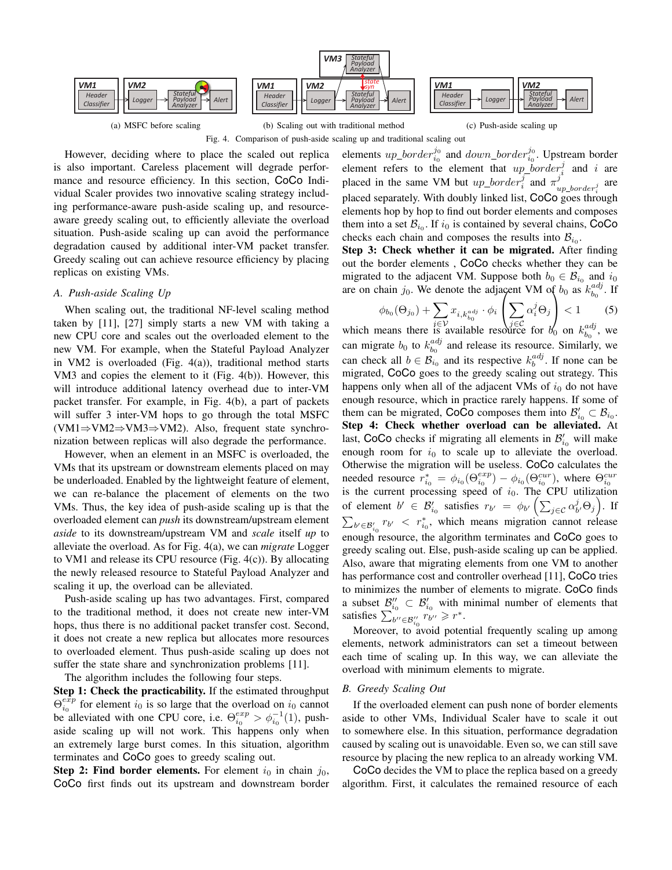

(a) MSFC before scaling

(b) Scaling out with traditional method Fig. 4. Comparison of push-aside scaling up and traditional scaling out

(c) Push-aside scaling up

However, deciding where to place the scaled out replica is also important. Careless placement will degrade performance and resource efficiency. In this section, CoCo Individual Scaler provides two innovative scaling strategy including performance-aware push-aside scaling up, and resourceaware greedy scaling out, to efficiently alleviate the overload situation. Push-aside scaling up can avoid the performance degradation caused by additional inter-VM packet transfer. Greedy scaling out can achieve resource efficiency by placing replicas on existing VMs.

# *A. Push-aside Scaling Up*

When scaling out, the traditional NF-level scaling method taken by [11], [27] simply starts a new VM with taking a new CPU core and scales out the overloaded element to the new VM. For example, when the Stateful Payload Analyzer in VM2 is overloaded (Fig. 4(a)), traditional method starts VM3 and copies the element to it (Fig. 4(b)). However, this will introduce additional latency overhead due to inter-VM packet transfer. For example, in Fig. 4(b), a part of packets will suffer 3 inter-VM hops to go through the total MSFC (VM1⇒VM2⇒VM3⇒VM2). Also, frequent state synchronization between replicas will also degrade the performance.

However, when an element in an MSFC is overloaded, the VMs that its upstream or downstream elements placed on may be underloaded. Enabled by the lightweight feature of element, we can re-balance the placement of elements on the two VMs. Thus, the key idea of push-aside scaling up is that the overloaded element can *push* its downstream/upstream element *aside* to its downstream/upstream VM and *scale* itself *up* to alleviate the overload. As for Fig. 4(a), we can *migrate* Logger to VM1 and release its CPU resource (Fig. 4(c)). By allocating the newly released resource to Stateful Payload Analyzer and scaling it up, the overload can be alleviated.

Push-aside scaling up has two advantages. First, compared to the traditional method, it does not create new inter-VM hops, thus there is no additional packet transfer cost. Second, it does not create a new replica but allocates more resources to overloaded element. Thus push-aside scaling up does not suffer the state share and synchronization problems [11].

The algorithm includes the following four steps.

**Step 1: Check the practicability.** If the estimated throughput  $\Theta_{i_0}^{\epsilon \bar{x} p}$  for element  $i_0$  is so large that the overload on  $i_0$  cannot be alleviated with one CPU core, i.e.  $\Theta_{i_0}^{exp} > \phi_{i_0}^{-1}(1)$ , pushaside scaling up will not work. This happens only when an extremely large burst comes. In this situation, algorithm terminates and CoCo goes to greedy scaling out.

**Step 2: Find border elements.** For element  $i_0$  in chain  $j_0$ , CoCo first finds out its upstream and downstream border

elements  $up\_border^{j_0}_{i_0}$  and  $down\_border^{j_0}_{i_0}$ . Upstream border element refers to the element that  $up\_border^j_i$  and i are placed in the same VM but  $up\_border_i^j$  and  $\pi_{up\_border_i^j}^j$  are placed separately. With doubly linked list, CoCo goes through elements hop by hop to find out border elements and composes them into a set  $\mathcal{B}_{i_0}$ . If  $i_0$  is contained by several chains, CoCo checks each chain and composes the results into  $\mathcal{B}_{i_0}$ .

**Step 3: Check whether it can be migrated.** After finding out the border elements , CoCo checks whether they can be migrated to the adjacent VM. Suppose both  $b_0 \in \mathcal{B}_{i_0}$  and  $i_0$ are on chain  $j_0$ . We denote the adjacent VM of  $b_0$  as  $k_{b_0}^{adj}$ . If

$$
\phi_{b_0}(\Theta_{j_0}) + \sum_{i \in \mathcal{V}} x_{i,k_{b_0}^{adj}} \cdot \phi_i \left( \sum_{j \in \mathcal{C}} \alpha_i^j \Theta_j \right) < 1 \tag{5}
$$
\nmeans, then,  $\phi_{b_0}(\Theta_{j_0}) + \sum_{j \in \mathcal{C}} x_{i,k_{b_0}^{adj}}$  are the same than  $\phi_{b_0}(\Theta_{j_0})$ .

which means there is available resource for  $b_0^j$  on  $k_{b_0}^{adj}$ , we can migrate  $b_0$  to  $k_{b_0}^{adj}$  and release its resource. Similarly, we can check all  $b \in \mathcal{B}_{i_0}$  and its respective  $k_b^{adj}$ . If none can be migrated, CoCo goes to the greedy scaling out strategy. This happens only when all of the adjacent VMs of  $i_0$  do not have enough resource, which in practice rarely happens. If some of them can be migrated, CoCo composes them into  $\mathcal{B}'_{i_0} \subset \mathcal{B}_{i_0}$ . **Step 4: Check whether overload can be alleviated.** At last, CoCo checks if migrating all elements in  $\mathcal{B}'_{i_0}$  will make enough room for  $i_0$  to scale up to alleviate the overload. Otherwise the migration will be useless. CoCo calculates the needed resource  $r_{i_0}^* = \phi_{i_0}(\Theta_{i_0}^{exp}) - \phi_{i_0}(\Theta_{i_0}^{cur})$ , where  $\Theta_{i_0}^{cur}$  is the current processing speed of  $i_0$ . The CPU utilization of element  $b' \in \mathcal{B}'_{i_0}$  satisfies  $r_{b'} = \phi_{b'} \left( \sum_{j \in \mathcal{C}} \alpha_{b'}^j \Theta_j \right)$ . If  $\sum_{b' \in \mathcal{B}_{i_0}'} r_{b'} < r_{i_0}^*$ , which means migration cannot release enough resource, the algorithm terminates and CoCo goes to greedy scaling out. Else, push-aside scaling up can be applied. Also, aware that migrating elements from one VM to another has performance cost and controller overhead [11], CoCo tries to minimizes the number of elements to migrate. CoCo finds a subset  $\mathcal{B}_{i_0}'' \subset \mathcal{B}_{i_0}'$  with minimal number of elements that satisfies  $\sum_{b'' \in \mathcal{B}_{i_0}''} r_{b''} \geq r^*$ .

Moreover, to avoid potential frequently scaling up among elements, network administrators can set a timeout between each time of scaling up. In this way, we can alleviate the overload with minimum elements to migrate.

## *B. Greedy Scaling Out*

If the overloaded element can push none of border elements aside to other VMs, Individual Scaler have to scale it out to somewhere else. In this situation, performance degradation caused by scaling out is unavoidable. Even so, we can still save resource by placing the new replica to an already working VM.

CoCo decides the VM to place the replica based on a greedy algorithm. First, it calculates the remained resource of each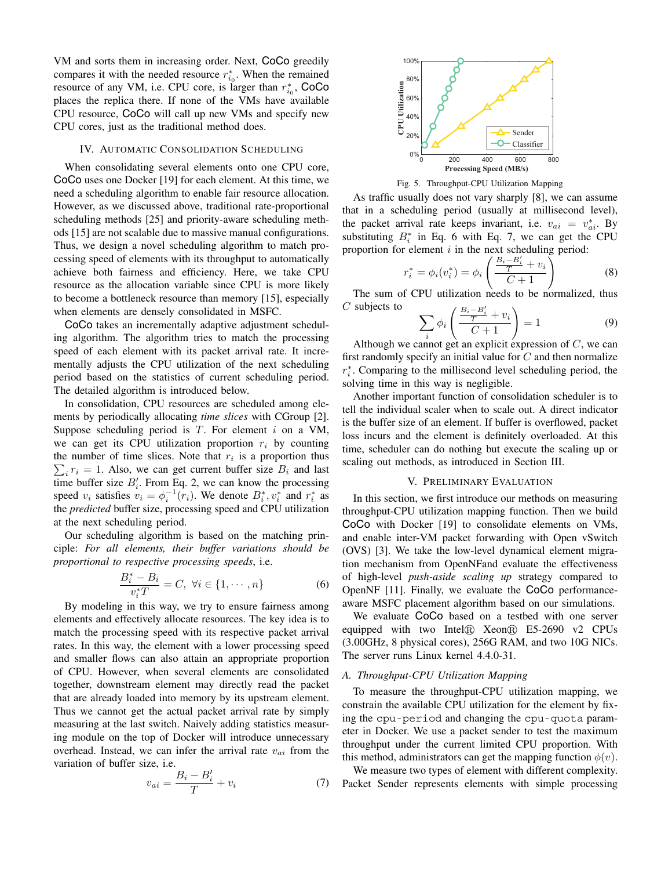VM and sorts them in increasing order. Next, CoCo greedily compares it with the needed resource  $r_{i_0}^*$ . When the remained resource of any VM, i.e. CPU core, is larger than  $r_{i_0}^*$ , CoCo places the replica there. If none of the VMs have available CPU resource, CoCo will call up new VMs and specify new CPU cores, just as the traditional method does.

### IV. AUTOMATIC CONSOLIDATION SCHEDULING

When consolidating several elements onto one CPU core, CoCo uses one Docker [19] for each element. At this time, we need a scheduling algorithm to enable fair resource allocation. However, as we discussed above, traditional rate-proportional scheduling methods [25] and priority-aware scheduling methods [15] are not scalable due to massive manual configurations. Thus, we design a novel scheduling algorithm to match processing speed of elements with its throughput to automatically achieve both fairness and efficiency. Here, we take CPU resource as the allocation variable since CPU is more likely to become a bottleneck resource than memory [15], especially when elements are densely consolidated in MSFC.

CoCo takes an incrementally adaptive adjustment scheduling algorithm. The algorithm tries to match the processing speed of each element with its packet arrival rate. It incrementally adjusts the CPU utilization of the next scheduling period based on the statistics of current scheduling period. The detailed algorithm is introduced below.

In consolidation, CPU resources are scheduled among elements by periodically allocating *time slices* with CGroup [2]. Suppose scheduling period is  $T$ . For element  $i$  on a VM, we can get its CPU utilization proportion  $r_i$  by counting the number of time slices. Note that  $r_i$  is a proportion thus  $\sum_i r_i = 1$ . Also, we can get current buffer size  $B_i$  and last time buffer size  $B_i'$ . From Eq. 2, we can know the processing speed  $v_i$  satisfies  $v_i = \phi_i^{-1}(r_i)$ . We denote  $B_i^*, v_i^*$  and  $r_i^*$  as the *predicted* buffer size, processing speed and CPU utilization at the next scheduling period.

Our scheduling algorithm is based on the matching principle: *For all elements, their buffer variations should be proportional to respective processing speeds*, i.e.

$$
\frac{B_i^*-B_i}{v_i^*T} = C, \ \forall i \in \{1, \cdots, n\}
$$
 (6)

By modeling in this way, we try to ensure fairness among elements and effectively allocate resources. The key idea is to match the processing speed with its respective packet arrival rates. In this way, the element with a lower processing speed and smaller flows can also attain an appropriate proportion of CPU. However, when several elements are consolidated together, downstream element may directly read the packet that are already loaded into memory by its upstream element. Thus we cannot get the actual packet arrival rate by simply measuring at the last switch. Naively adding statistics measuring module on the top of Docker will introduce unnecessary overhead. Instead, we can infer the arrival rate  $v_{ai}$  from the variation of buffer size, i.e.

$$
v_{ai} = \frac{B_i - B_i'}{T} + v_i \tag{7}
$$



Fig. 5. Throughput-CPU Utilization Mapping

As traffic usually does not vary sharply [8], we can assume that in a scheduling period (usually at millisecond level), the packet arrival rate keeps invariant, i.e.  $v_{ai} = v_{ai}^*$ . By substituting  $B_i^*$  in Eq. 6 with Eq. 7, we can get the CPU proportion for element  $i$  in the next scheduling period:

$$
r_i^* = \phi_i(v_i^*) = \phi_i\left(\frac{\frac{B_i - B_i'}{T} + v_i}{C + 1}\right)
$$
(8)

The sum of CPU utilization needs to be normalized, thus  $C$  subjects to  $(P - P')$ 

$$
\sum_{i} \phi_i \left( \frac{\frac{B_i - B'_i}{T} + v_i}{C + 1} \right) = 1 \tag{9}
$$

Although we cannot get an explicit expression of  $C$ , we can first randomly specify an initial value for  $C$  and then normalize  $r_i^*$ . Comparing to the millisecond level scheduling period, the solving time in this way is negligible.

Another important function of consolidation scheduler is to tell the individual scaler when to scale out. A direct indicator is the buffer size of an element. If buffer is overflowed, packet loss incurs and the element is definitely overloaded. At this time, scheduler can do nothing but execute the scaling up or scaling out methods, as introduced in Section III.

## V. PRELIMINARY EVALUATION

In this section, we first introduce our methods on measuring throughput-CPU utilization mapping function. Then we build CoCo with Docker [19] to consolidate elements on VMs, and enable inter-VM packet forwarding with Open vSwitch (OVS) [3]. We take the low-level dynamical element migration mechanism from OpenNFand evaluate the effectiveness of high-level *push-aside scaling up* strategy compared to OpenNF [11]. Finally, we evaluate the CoCo performanceaware MSFC placement algorithm based on our simulations.

We evaluate CoCo based on a testbed with one server equipped with two Intel $\Omega$  Xeon $\Omega$  E5-2690 v2 CPUs (3.00GHz, 8 physical cores), 256G RAM, and two 10G NICs. The server runs Linux kernel 4.4.0-31.

# *A. Throughput-CPU Utilization Mapping*

To measure the throughput-CPU utilization mapping, we constrain the available CPU utilization for the element by fixing the cpu-period and changing the cpu-quota parameter in Docker. We use a packet sender to test the maximum throughput under the current limited CPU proportion. With this method, administrators can get the mapping function  $\phi(v)$ .

We measure two types of element with different complexity. Packet Sender represents elements with simple processing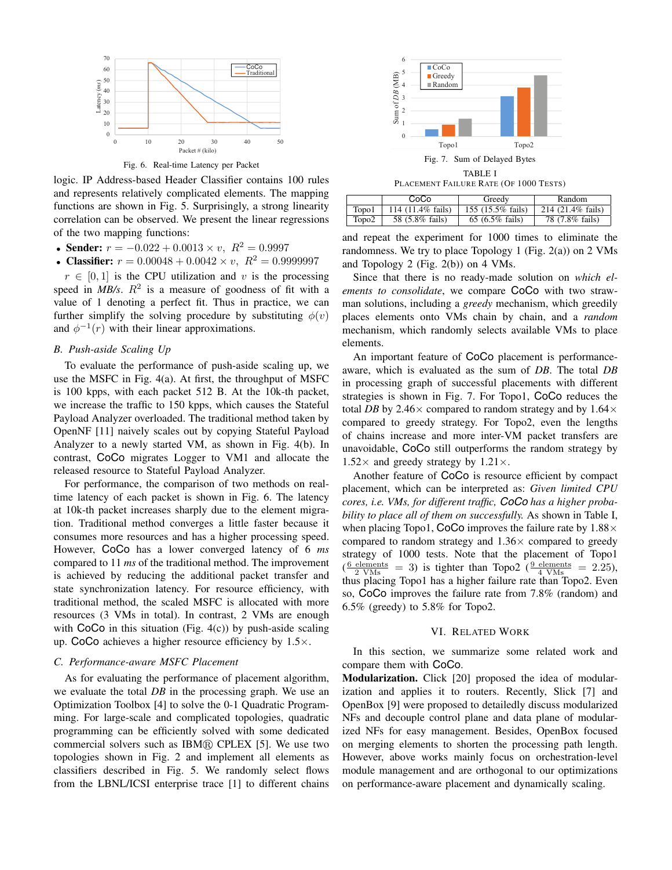

Fig. 6. Real-time Latency per Packet

logic. IP Address-based Header Classifier contains 100 rules and represents relatively complicated elements. The mapping functions are shown in Fig. 5. Surprisingly, a strong linearity correlation can be observed. We present the linear regressions of the two mapping functions:

- **Sender:**  $r = -0.022 + 0.0013 \times v$ ,  $R^2 = 0.9997$
- **Classifier:**  $r = 0.00048 + 0.0042 \times v$ ,  $R^2 = 0.9999997$

 $r \in [0, 1]$  is the CPU utilization and v is the processing speed in *MB/s*.  $R^2$  is a measure of goodness of fit with a value of 1 denoting a perfect fit. Thus in practice, we can further simplify the solving procedure by substituting  $\phi(v)$ and  $\phi^{-1}(r)$  with their linear approximations.

## *B. Push-aside Scaling Up*

To evaluate the performance of push-aside scaling up, we use the MSFC in Fig. 4(a). At first, the throughput of MSFC is 100 kpps, with each packet 512 B. At the 10k-th packet, we increase the traffic to 150 kpps, which causes the Stateful Payload Analyzer overloaded. The traditional method taken by OpenNF [11] naively scales out by copying Stateful Payload Analyzer to a newly started VM, as shown in Fig. 4(b). In contrast, CoCo migrates Logger to VM1 and allocate the released resource to Stateful Payload Analyzer.

For performance, the comparison of two methods on realtime latency of each packet is shown in Fig. 6. The latency at 10k-th packet increases sharply due to the element migration. Traditional method converges a little faster because it consumes more resources and has a higher processing speed. However, CoCo has a lower converged latency of 6 *ms* compared to 11 *ms* of the traditional method. The improvement is achieved by reducing the additional packet transfer and state synchronization latency. For resource efficiency, with traditional method, the scaled MSFC is allocated with more resources (3 VMs in total). In contrast, 2 VMs are enough with  $CoCo$  in this situation (Fig. 4(c)) by push-aside scaling up. CoCo achieves a higher resource efficiency by  $1.5 \times$ .

## *C. Performance-aware MSFC Placement*

As for evaluating the performance of placement algorithm, we evaluate the total *DB* in the processing graph. We use an Optimization Toolbox [4] to solve the 0-1 Quadratic Programming. For large-scale and complicated topologies, quadratic programming can be efficiently solved with some dedicated commercial solvers such as IBM® CPLEX [5]. We use two topologies shown in Fig. 2 and implement all elements as classifiers described in Fig. 5. We randomly select flows from the LBNL/ICSI enterprise trace [1] to different chains



Fig. 7. Sum of Delayed Bytes TABLE I PLACEMENT FAILURE RATE (OF 1000 TESTS)

|       | CoCo              | Greedy                     | Random            |
|-------|-------------------|----------------------------|-------------------|
| Topo1 | 114 (11.4% fails) | 155 (15.5% fails)          | 214 (21.4% fails) |
| Topo2 | 58 (5.8% fails)   | 65 $(6.5\% \text{ fails})$ | 78 (7.8% fails)   |

and repeat the experiment for 1000 times to eliminate the randomness. We try to place Topology 1 (Fig.  $2(a)$ ) on 2 VMs and Topology 2 (Fig. 2(b)) on 4 VMs.

Since that there is no ready-made solution on *which elements to consolidate*, we compare CoCo with two strawman solutions, including a *greedy* mechanism, which greedily places elements onto VMs chain by chain, and a *random* mechanism, which randomly selects available VMs to place elements.

An important feature of CoCo placement is performanceaware, which is evaluated as the sum of *DB*. The total *DB* in processing graph of successful placements with different strategies is shown in Fig. 7. For Topo1, CoCo reduces the total *DB* by 2.46 $\times$  compared to random strategy and by 1.64 $\times$ compared to greedy strategy. For Topo2, even the lengths of chains increase and more inter-VM packet transfers are unavoidable, CoCo still outperforms the random strategy by 1.52 $\times$  and greedy strategy by 1.21 $\times$ .

Another feature of CoCo is resource efficient by compact placement, which can be interpreted as: *Given limited CPU cores, i.e. VMs, for different traffic,* CoCo *has a higher probability to place all of them on successfully.* As shown in Table I, when placing Topo1, CoCo improves the failure rate by  $1.88\times$ compared to random strategy and  $1.36\times$  compared to greedy strategy of 1000 tests. Note that the placement of Topo1  $(\frac{6 \text{ elements}}{2 \text{ VMs}} = 3)$  is tighter than Topo2  $(\frac{9 \text{ elements}}{4 \text{ VMs}} = 2.25)$ , thus placing Topo1 has a higher failure rate than Topo2. Even so, CoCo improves the failure rate from 7.8% (random) and 6.5% (greedy) to 5.8% for Topo2.

#### VI. RELATED WORK

In this section, we summarize some related work and compare them with CoCo.

**Modularization.** Click [20] proposed the idea of modularization and applies it to routers. Recently, Slick [7] and OpenBox [9] were proposed to detailedly discuss modularized NFs and decouple control plane and data plane of modularized NFs for easy management. Besides, OpenBox focused on merging elements to shorten the processing path length. However, above works mainly focus on orchestration-level module management and are orthogonal to our optimizations on performance-aware placement and dynamically scaling.